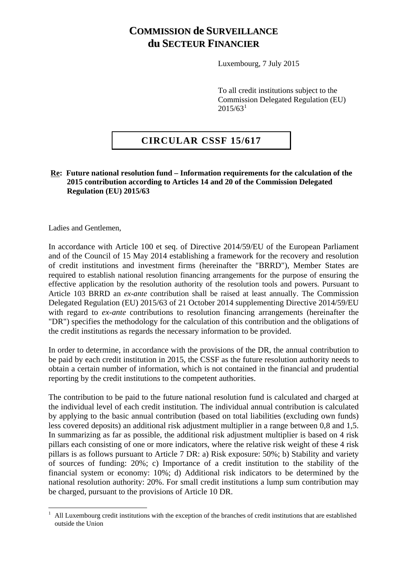## **COMMISSION de SURVEILLANCE du SECTEUR FINANCIER**

Luxembourg, 7 July 2015

To all credit institutions subject to the Commission Delegated Regulation (EU)  $2015/63<sup>1</sup>$  $2015/63<sup>1</sup>$  $2015/63<sup>1</sup>$ 

## **CIRCULAR CSSF 15/617**

## **Re: Future national resolution fund – Information requirements for the calculation of the 2015 contribution according to Articles 14 and 20 of the Commission Delegated Regulation (EU) 2015/63**

Ladies and Gentlemen,

 $\overline{a}$ 

In accordance with Article 100 et seq. of Directive 2014/59/EU of the European Parliament and of the Council of 15 May 2014 establishing a framework for the recovery and resolution of credit institutions and investment firms (hereinafter the "BRRD"), Member States are required to establish national resolution financing arrangements for the purpose of ensuring the effective application by the resolution authority of the resolution tools and powers. Pursuant to Article 103 BRRD an *ex-ante* contribution shall be raised at least annually. The Commission Delegated Regulation (EU) 2015/63 of 21 October 2014 supplementing Directive 2014/59/EU with regard to *ex-ante* contributions to resolution financing arrangements (hereinafter the "DR") specifies the methodology for the calculation of this contribution and the obligations of the credit institutions as regards the necessary information to be provided.

In order to determine, in accordance with the provisions of the DR, the annual contribution to be paid by each credit institution in 2015, the CSSF as the future resolution authority needs to obtain a certain number of information, which is not contained in the financial and prudential reporting by the credit institutions to the competent authorities.

The contribution to be paid to the future national resolution fund is calculated and charged at the individual level of each credit institution. The individual annual contribution is calculated by applying to the basic annual contribution (based on total liabilities (excluding own funds) less covered deposits) an additional risk adjustment multiplier in a range between 0,8 and 1,5. In summarizing as far as possible, the additional risk adjustment multiplier is based on 4 risk pillars each consisting of one or more indicators, where the relative risk weight of these 4 risk pillars is as follows pursuant to Article 7 DR: a) Risk exposure: 50%; b) Stability and variety of sources of funding: 20%; c) Importance of a credit institution to the stability of the financial system or economy: 10%; d) Additional risk indicators to be determined by the national resolution authority: 20%. For small credit institutions a lump sum contribution may be charged, pursuant to the provisions of Article 10 DR.

<span id="page-0-0"></span><sup>1</sup> All Luxembourg credit institutions with the exception of the branches of credit institutions that are established outside the Union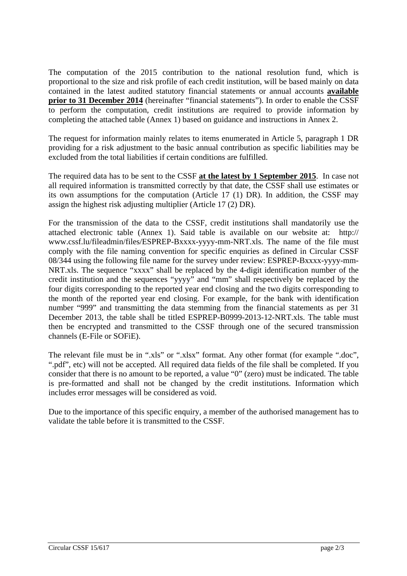The computation of the 2015 contribution to the national resolution fund, which is proportional to the size and risk profile of each credit institution, will be based mainly on data contained in the latest audited statutory financial statements or annual accounts **available prior to 31 December 2014** (hereinafter "financial statements"). In order to enable the CSSF to perform the computation, credit institutions are required to provide information by completing the attached table (Annex 1) based on guidance and instructions in Annex 2.

The request for information mainly relates to items enumerated in Article 5, paragraph 1 DR providing for a risk adjustment to the basic annual contribution as specific liabilities may be excluded from the total liabilities if certain conditions are fulfilled.

The required data has to be sent to the CSSF **at the latest by 1 September 2015**. In case not all required information is transmitted correctly by that date, the CSSF shall use estimates or its own assumptions for the computation (Article 17 (1) DR). In addition, the CSSF may assign the highest risk adjusting multiplier (Article 17 (2) DR).

For the transmission of the data to the CSSF, credit institutions shall mandatorily use the attached electronic table (Annex 1). Said table is available on our website at: [http://](http://www.cssf.lu/fileadmin/files/ESPREP-Bxxxx-yyyy-mm-NRT.xls)  [www.cssf.lu/fileadmin/files/ESPREP-Bxxxx-yyyy-mm-NRT.xls.](http://www.cssf.lu/fileadmin/files/ESPREP-Bxxxx-yyyy-mm-NRT.xls) The name of the file must comply with the file naming convention for specific enquiries as defined in Circular CSSF 08/344 using the following file name for the survey under review: ESPREP-Bxxxx-yyyy-mm-NRT.xls. The sequence "xxxx" shall be replaced by the 4-digit identification number of the credit institution and the sequences "yyyy" and "mm" shall respectively be replaced by the four digits corresponding to the reported year end closing and the two digits corresponding to the month of the reported year end closing. For example, for the bank with identification number "999" and transmitting the data stemming from the financial statements as per 31 December 2013, the table shall be titled ESPREP-B0999-2013-12-NRT.xls. The table must then be encrypted and transmitted to the CSSF through one of the secured transmission channels (E-File or SOFiE).

The relevant file must be in ".xls" or ".xlsx" format. Any other format (for example ".doc", ".pdf", etc) will not be accepted. All required data fields of the file shall be completed. If you consider that there is no amount to be reported, a value "0" (zero) must be indicated. The table is pre-formatted and shall not be changed by the credit institutions. Information which includes error messages will be considered as void.

Due to the importance of this specific enquiry, a member of the authorised management has to validate the table before it is transmitted to the CSSF.